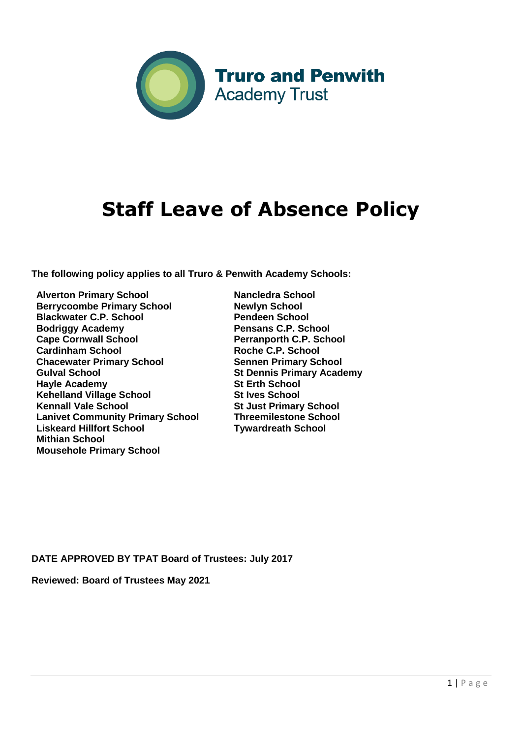

# **Staff Leave of Absence Policy**

**The following policy applies to all Truro & Penwith Academy Schools:** 

**Alverton Primary School Berrycoombe Primary School Blackwater C.P. School Bodriggy Academy Cape Cornwall School Cardinham School Chacewater Primary School Gulval School Hayle Academy Kehelland Village School Kennall Vale School Lanivet Community Primary School Liskeard Hillfort School Mithian School Mousehole Primary School**

**Nancledra School Newlyn School Pendeen School Pensans C.P. School Perranporth C.P. School Roche C.P. School Sennen Primary School St Dennis Primary Academy St Erth School St Ives School St Just Primary School Threemilestone School Tywardreath School** 

**DATE APPROVED BY TPAT Board of Trustees: July 2017** 

**Reviewed: Board of Trustees May 2021**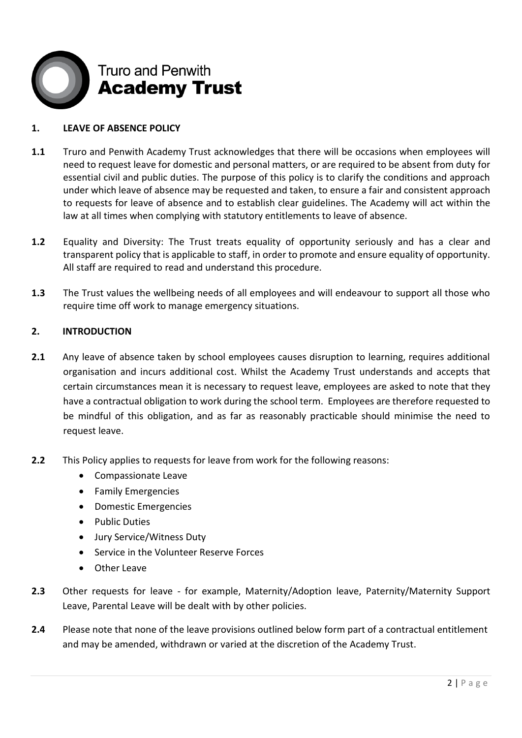

## **1. LEAVE OF ABSENCE POLICY**

- **1.1** Truro and Penwith Academy Trust acknowledges that there will be occasions when employees will need to request leave for domestic and personal matters, or are required to be absent from duty for essential civil and public duties. The purpose of this policy is to clarify the conditions and approach under which leave of absence may be requested and taken, to ensure a fair and consistent approach to requests for leave of absence and to establish clear guidelines. The Academy will act within the law at all times when complying with statutory entitlements to leave of absence.
- **1.2** Equality and Diversity: The Trust treats equality of opportunity seriously and has a clear and transparent policy that is applicable to staff, in order to promote and ensure equality of opportunity. All staff are required to read and understand this procedure.
- **1.3** The Trust values the wellbeing needs of all employees and will endeavour to support all those who require time off work to manage emergency situations.

## **2. INTRODUCTION**

- **2.1** Any leave of absence taken by school employees causes disruption to learning, requires additional organisation and incurs additional cost. Whilst the Academy Trust understands and accepts that certain circumstances mean it is necessary to request leave, employees are asked to note that they have a contractual obligation to work during the school term. Employees are therefore requested to be mindful of this obligation, and as far as reasonably practicable should minimise the need to request leave.
- **2.2** This Policy applies to requests for leave from work for the following reasons:
	- Compassionate Leave
	- **•** Family Emergencies
	- Domestic Emergencies
	- Public Duties
	- Jury Service/Witness Duty
	- Service in the Volunteer Reserve Forces
	- Other Leave
- **2.3** Other requests for leave for example, Maternity/Adoption leave, Paternity/Maternity Support Leave, Parental Leave will be dealt with by other policies.
- **2.4** Please note that none of the leave provisions outlined below form part of a contractual entitlement and may be amended, withdrawn or varied at the discretion of the Academy Trust.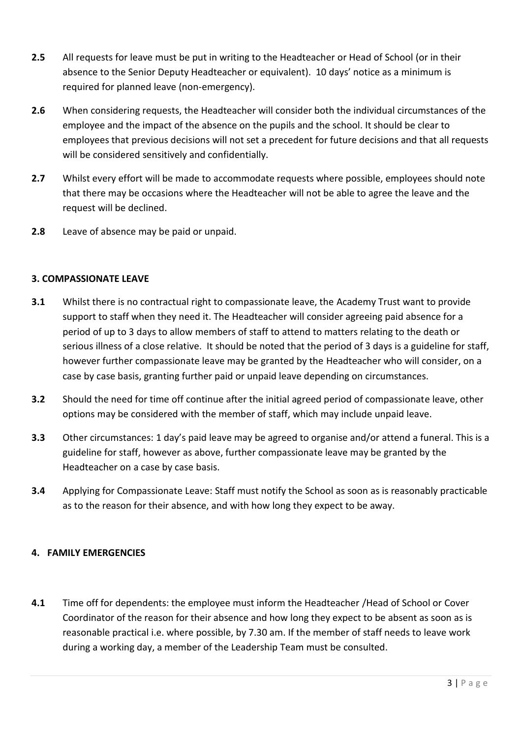- **2.5** All requests for leave must be put in writing to the Headteacher or Head of School (or in their absence to the Senior Deputy Headteacher or equivalent). 10 days' notice as a minimum is required for planned leave (non-emergency).
- **2.6** When considering requests, the Headteacher will consider both the individual circumstances of the employee and the impact of the absence on the pupils and the school. It should be clear to employees that previous decisions will not set a precedent for future decisions and that all requests will be considered sensitively and confidentially.
- **2.7** Whilst every effort will be made to accommodate requests where possible, employees should note that there may be occasions where the Headteacher will not be able to agree the leave and the request will be declined.
- **2.8** Leave of absence may be paid or unpaid.

## **3. COMPASSIONATE LEAVE**

- **3.1** Whilst there is no contractual right to compassionate leave, the Academy Trust want to provide support to staff when they need it. The Headteacher will consider agreeing paid absence for a period of up to 3 days to allow members of staff to attend to matters relating to the death or serious illness of a close relative. It should be noted that the period of 3 days is a guideline for staff, however further compassionate leave may be granted by the Headteacher who will consider, on a case by case basis, granting further paid or unpaid leave depending on circumstances.
- **3.2** Should the need for time off continue after the initial agreed period of compassionate leave, other options may be considered with the member of staff, which may include unpaid leave.
- **3.3** Other circumstances: 1 day's paid leave may be agreed to organise and/or attend a funeral. This is a guideline for staff, however as above, further compassionate leave may be granted by the Headteacher on a case by case basis.
- **3.4** Applying for Compassionate Leave: Staff must notify the School as soon as is reasonably practicable as to the reason for their absence, and with how long they expect to be away.

#### **4. FAMILY EMERGENCIES**

**4.1** Time off for dependents: the employee must inform the Headteacher /Head of School or Cover Coordinator of the reason for their absence and how long they expect to be absent as soon as is reasonable practical i.e. where possible, by 7.30 am. If the member of staff needs to leave work during a working day, a member of the Leadership Team must be consulted.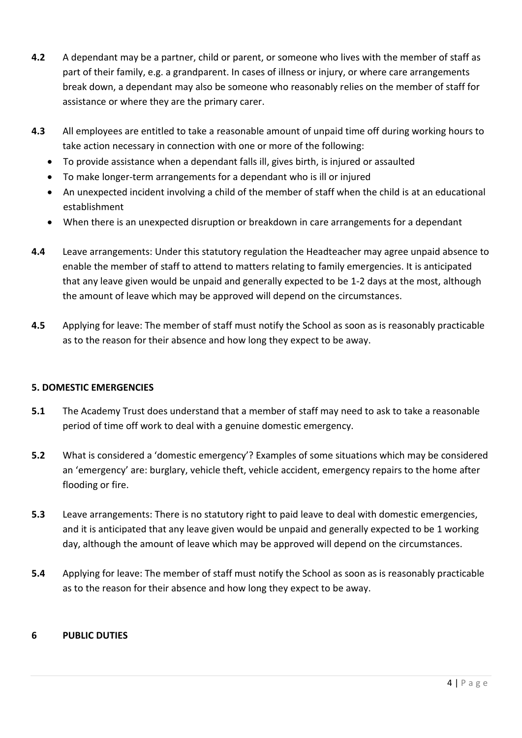- **4.2** A dependant may be a partner, child or parent, or someone who lives with the member of staff as part of their family, e.g. a grandparent. In cases of illness or injury, or where care arrangements break down, a dependant may also be someone who reasonably relies on the member of staff for assistance or where they are the primary carer.
- **4.3** All employees are entitled to take a reasonable amount of unpaid time off during working hours to take action necessary in connection with one or more of the following:
	- To provide assistance when a dependant falls ill, gives birth, is injured or assaulted
	- To make longer-term arrangements for a dependant who is ill or injured
	- An unexpected incident involving a child of the member of staff when the child is at an educational establishment
	- When there is an unexpected disruption or breakdown in care arrangements for a dependant
- **4.4** Leave arrangements: Under this statutory regulation the Headteacher may agree unpaid absence to enable the member of staff to attend to matters relating to family emergencies. It is anticipated that any leave given would be unpaid and generally expected to be 1-2 days at the most, although the amount of leave which may be approved will depend on the circumstances.
- **4.5** Applying for leave: The member of staff must notify the School as soon as is reasonably practicable as to the reason for their absence and how long they expect to be away.

#### **5. DOMESTIC EMERGENCIES**

- **5.1** The Academy Trust does understand that a member of staff may need to ask to take a reasonable period of time off work to deal with a genuine domestic emergency.
- **5.2** What is considered a 'domestic emergency'? Examples of some situations which may be considered an 'emergency' are: burglary, vehicle theft, vehicle accident, emergency repairs to the home after flooding or fire.
- **5.3** Leave arrangements: There is no statutory right to paid leave to deal with domestic emergencies, and it is anticipated that any leave given would be unpaid and generally expected to be 1 working day, although the amount of leave which may be approved will depend on the circumstances.
- **5.4** Applying for leave: The member of staff must notify the School as soon as is reasonably practicable as to the reason for their absence and how long they expect to be away.

## **6 PUBLIC DUTIES**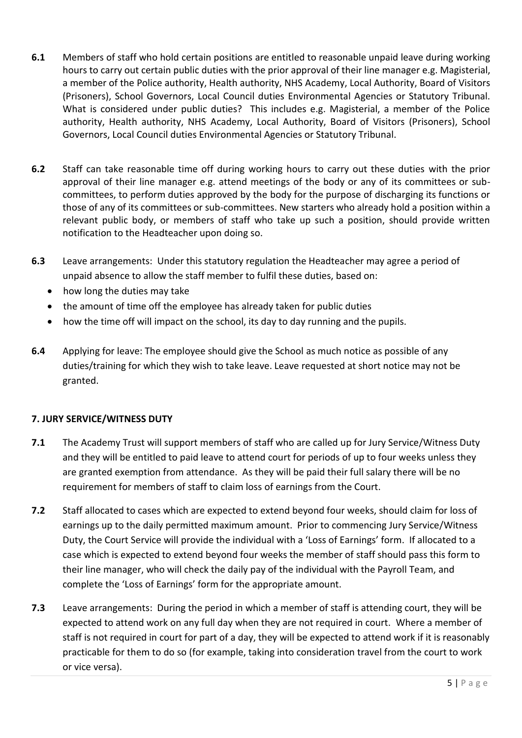- **6.1** Members of staff who hold certain positions are entitled to reasonable unpaid leave during working hours to carry out certain public duties with the prior approval of their line manager e.g. Magisterial, a member of the Police authority, Health authority, NHS Academy, Local Authority, Board of Visitors (Prisoners), School Governors, Local Council duties Environmental Agencies or Statutory Tribunal. What is considered under public duties? This includes e.g. Magisterial, a member of the Police authority, Health authority, NHS Academy, Local Authority, Board of Visitors (Prisoners), School Governors, Local Council duties Environmental Agencies or Statutory Tribunal.
- **6.2** Staff can take reasonable time off during working hours to carry out these duties with the prior approval of their line manager e.g. attend meetings of the body or any of its committees or subcommittees, to perform duties approved by the body for the purpose of discharging its functions or those of any of its committees or sub-committees. New starters who already hold a position within a relevant public body, or members of staff who take up such a position, should provide written notification to the Headteacher upon doing so.
- **6.3** Leave arrangements: Under this statutory regulation the Headteacher may agree a period of unpaid absence to allow the staff member to fulfil these duties, based on:
	- how long the duties may take
	- the amount of time off the employee has already taken for public duties
	- how the time off will impact on the school, its day to day running and the pupils.
- **6.4** Applying for leave: The employee should give the School as much notice as possible of any duties/training for which they wish to take leave. Leave requested at short notice may not be granted.

## **7. JURY SERVICE/WITNESS DUTY**

- **7.1** The Academy Trust will support members of staff who are called up for Jury Service/Witness Duty and they will be entitled to paid leave to attend court for periods of up to four weeks unless they are granted exemption from attendance. As they will be paid their full salary there will be no requirement for members of staff to claim loss of earnings from the Court.
- **7.2** Staff allocated to cases which are expected to extend beyond four weeks, should claim for loss of earnings up to the daily permitted maximum amount. Prior to commencing Jury Service/Witness Duty, the Court Service will provide the individual with a 'Loss of Earnings' form. If allocated to a case which is expected to extend beyond four weeks the member of staff should pass this form to their line manager, who will check the daily pay of the individual with the Payroll Team, and complete the 'Loss of Earnings' form for the appropriate amount.
- **7.3** Leave arrangements: During the period in which a member of staff is attending court, they will be expected to attend work on any full day when they are not required in court. Where a member of staff is not required in court for part of a day, they will be expected to attend work if it is reasonably practicable for them to do so (for example, taking into consideration travel from the court to work or vice versa).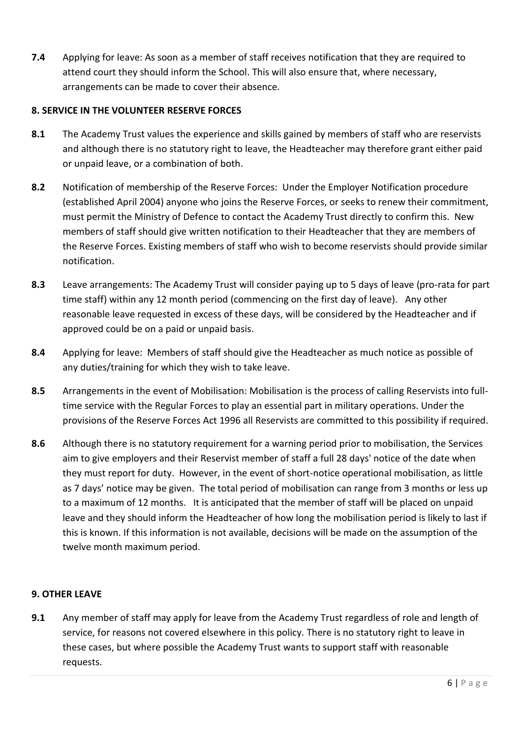**7.4** Applying for leave: As soon as a member of staff receives notification that they are required to attend court they should inform the School. This will also ensure that, where necessary, arrangements can be made to cover their absence.

# **8. SERVICE IN THE VOLUNTEER RESERVE FORCES**

- **8.1** The Academy Trust values the experience and skills gained by members of staff who are reservists and although there is no statutory right to leave, the Headteacher may therefore grant either paid or unpaid leave, or a combination of both.
- **8.2** Notification of membership of the Reserve Forces: Under the Employer Notification procedure (established April 2004) anyone who joins the Reserve Forces, or seeks to renew their commitment, must permit the Ministry of Defence to contact the Academy Trust directly to confirm this. New members of staff should give written notification to their Headteacher that they are members of the Reserve Forces. Existing members of staff who wish to become reservists should provide similar notification.
- **8.3** Leave arrangements: The Academy Trust will consider paying up to 5 days of leave (pro-rata for part time staff) within any 12 month period (commencing on the first day of leave). Any other reasonable leave requested in excess of these days, will be considered by the Headteacher and if approved could be on a paid or unpaid basis.
- **8.4** Applying for leave: Members of staff should give the Headteacher as much notice as possible of any duties/training for which they wish to take leave.
- **8.5** Arrangements in the event of Mobilisation: Mobilisation is the process of calling Reservists into fulltime service with the Regular Forces to play an essential part in military operations. Under the provisions of the Reserve Forces Act 1996 all Reservists are committed to this possibility if required.
- **8.6** Although there is no statutory requirement for a warning period prior to mobilisation, the Services aim to give employers and their Reservist member of staff a full 28 days' notice of the date when they must report for duty. However, in the event of short-notice operational mobilisation, as little as 7 days' notice may be given. The total period of mobilisation can range from 3 months or less up to a maximum of 12 months. It is anticipated that the member of staff will be placed on unpaid leave and they should inform the Headteacher of how long the mobilisation period is likely to last if this is known. If this information is not available, decisions will be made on the assumption of the twelve month maximum period.

## **9. OTHER LEAVE**

**9.1** Any member of staff may apply for leave from the Academy Trust regardless of role and length of service, for reasons not covered elsewhere in this policy. There is no statutory right to leave in these cases, but where possible the Academy Trust wants to support staff with reasonable requests.